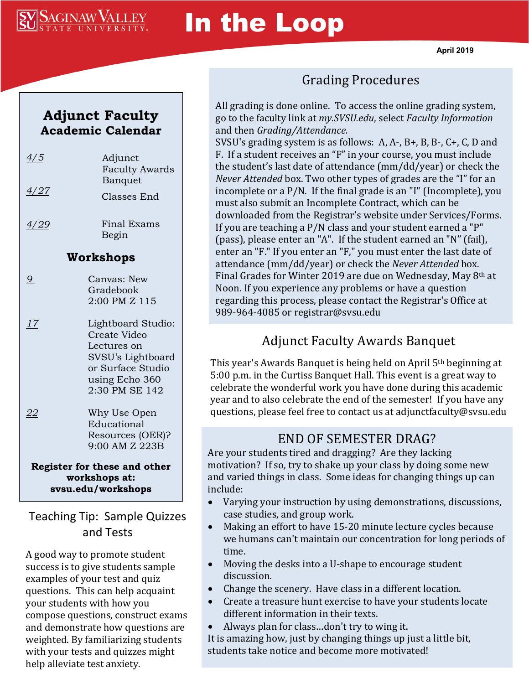

# In the Loop

#### **Adjunct Faculty Academic Calendar**

| $\frac{4}{5}$                | Adjunct<br><b>Faculty Awards</b> |
|------------------------------|----------------------------------|
| <u>4/27</u>                  | Banquet                          |
|                              | Classes End                      |
| 4/29                         | <b>Final Exams</b>               |
|                              | Begin                            |
| Workshops                    |                                  |
| $\overline{9}$               | Canvas: New                      |
|                              | Gradebook                        |
|                              | 2:00 PM Z 115                    |
| 17                           | Lightboard Studio:               |
|                              | Create Video                     |
|                              | Lectures on                      |
|                              | SVSU's Lightboard                |
|                              | or Surface Studio                |
|                              | using Echo 360                   |
|                              | 2:30 PM SE 142                   |
| 22                           | Why Use Open                     |
|                              | Educational                      |
|                              | Resources (OER)?                 |
|                              | 9:00 AM Z 223B                   |
| Register for these and other |                                  |
| workshops at:                |                                  |
| svsu.edu/workshops           |                                  |

Teaching Tip: Sample Quizzes and Tests

A good way to promote student success is to give students sample examples of your test and quiz questions. This can help acquaint your students with how you compose questions, construct exams and demonstrate how questions are weighted. By familiarizing students with your tests and quizzes might help alleviate test anxiety.

### Grading Procedures

All grading is done online. To access the online grading system, go to the faculty link at *my.SVSU.edu*, select *Faculty Information*  and then *Grading/Attendance.* 

SVSU's grading system is as follows: A, A-, B+, B, B-, C+, C, D and F. If a student receives an "F" in your course, you must include the student's last date of attendance (mm/dd/year) or check the *Never Attended* box. Two other types of grades are the "I" for an incomplete or a P/N. If the final grade is an "I" (Incomplete), you must also submit an Incomplete Contract, which can be downloaded from the Registrar's website under Services/Forms. If you are teaching a P/N class and your student earned a "P" (pass), please enter an "A". If the student earned an "N" (fail), enter an "F." If you enter an "F," you must enter the last date of attendance (mm/dd/year) or check the *Never Attended* box. Final Grades for Winter 2019 are due on Wednesday, May 8th at Noon. If you experience any problems or have a question regarding this process, please contact the Registrar's Office at 989-964-4085 or registrar@svsu.edu

#### Adjunct Faculty Awards Banquet

This year's Awards Banquet is being held on April 5th beginning at 5:00 p.m. in the Curtiss Banquet Hall. This event is a great way to celebrate the wonderful work you have done during this academic year and to also celebrate the end of the semester! If you have any questions, please feel free to contact us at adjunctfaculty@svsu.edu

#### END OF SEMESTER DRAG?

Are your students tired and dragging? Are they lacking motivation? If so, try to shake up your class by doing some new and varied things in class. Some ideas for changing things up can include:

- Varying your instruction by using demonstrations, discussions, case studies, and group work.
- Making an effort to have 15-20 minute lecture cycles because we humans can't maintain our concentration for long periods of time.
- Moving the desks into a U-shape to encourage student discussion.
- Change the scenery. Have class in a different location.
- Create a treasure hunt exercise to have your students locate different information in their texts.
- Always plan for class…don't try to wing it.

It is amazing how, just by changing things up just a little bit, students take notice and become more motivated!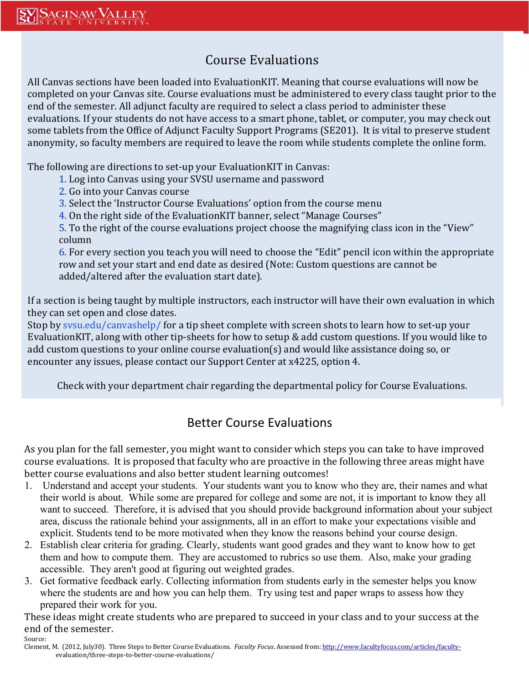#### Course Evaluations

All Canvas sections have been loaded into EvaluationKIT. Meaning that course evaluations will now be completed on your Canvas site. Course evaluations must be administered to every class taught prior to the end of the semester. All adjunct faculty are required to select a class period to administer these evaluations. If your students do not have access to a smart phone, tablet, or computer, you may check out some tablets from the Office of Adjunct Faculty Support Programs (SE201). It is vital to preserve student anonymity, so faculty members are required to leave the room while students complete the online form.

The following are directions to set-up your EvaluationKIT in Canvas:

- 1. Log into Canvas using your SVSU username and password
- 2. Go into your Canvas course
- 3. Select the 'Instructor Course Evaluations' option from the course menu
- 4. On the right side of the EvaluationKIT banner, select "Manage Courses"

5. To the right of the course evaluations project choose the magnifying class icon in the "View" column

6. For every section you teach you will need to choose the "Edit" pencil icon within the appropriate row and set your start and end date as desired (Note: Custom questions are cannot be added/altered after the evaluation start date).

If a section is being taught by multiple instructors, each instructor will have their own evaluation in which they can set open and close dates.

Stop by sysu.edu/canvashelp/ for a tip sheet complete with screen shots to learn how to set-up your EvaluationKIT, along with other tip-sheets for how to setup & add custom questions. If you would like to add custom questions to your online course evaluation(s) and would like assistance doing so, or encounter any issues, please contact our Support Center at x4225, option 4.

Check with your department chair regarding the departmental policy for Course Evaluations.

#### Better Course Evaluations

As you plan for the fall semester, you might want to consider which steps you can take to have improved course evaluations. It is proposed that faculty who are proactive in the following three areas might have better course evaluations and also better student learning outcomes!

- 1. Understand and accept your students. Your students want you to know who they are, their names and what their world is about. While some are prepared for college and some are not, it is important to know they all want to succeed. Therefore, it is advised that you should provide background information about your subject area, discuss the rationale behind your assignments, all in an effort to make your expectations visible and explicit. Students tend to be more motivated when they know the reasons behind your course design.
- 2. Establish clear criteria for grading. Clearly, students want good grades and they want to know how to get them and how to compute them. They are accustomed to rubrics so use them. Also, make your grading accessible. They aren't good at figuring out weighted grades.
- 3. Get formative feedback early. Collecting information from students early in the semester helps you know where the students are and how you can help them. Try using test and paper wraps to assess how they prepared their work for you.

These ideas might create students who are prepared to succeed in your class and to your success at the end of the semester.

Source: